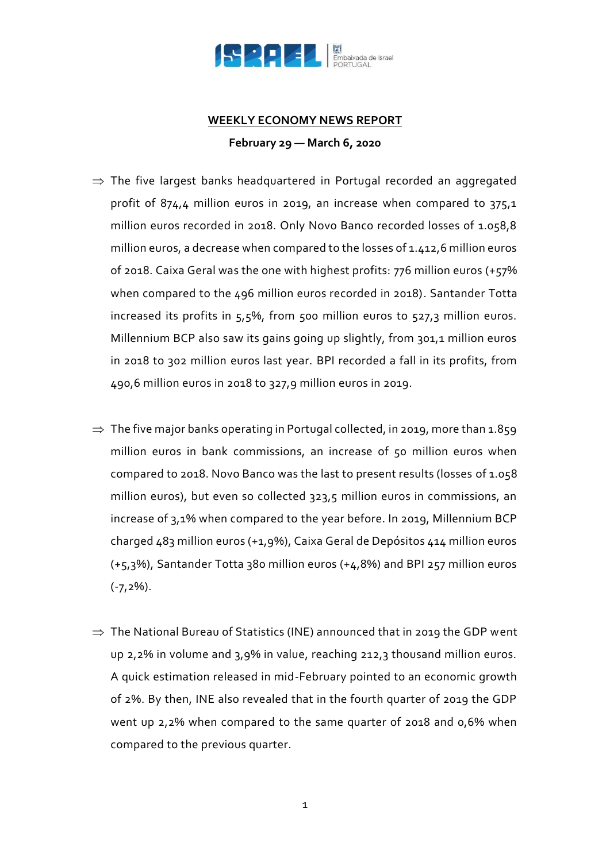

## **WEEKLY ECONOMY NEWS REPORT February 29 — March 6, 2020**

- $\Rightarrow$  The five largest banks headquartered in Portugal recorded an aggregated profit of 874,4 million euros in 2019, an increase when compared to 375,1 million euros recorded in 2018. Only Novo Banco recorded losses of 1.058,8 million euros, a decrease when compared to the losses of 1.412,6 million euros of 2018. Caixa Geral was the one with highest profits: 776 million euros (+57% when compared to the 496 million euros recorded in 2018). Santander Totta increased its profits in 5,5%, from 500 million euros to 527,3 million euros. Millennium BCP also saw its gains going up slightly, from 301,1 million euros in 2018 to 302 million euros last year. BPI recorded a fall in its profits, from 490,6 million euros in 2018 to 327,9 million euros in 2019.
- $\Rightarrow$  The five major banks operating in Portugal collected, in 2019, more than 1.859 million euros in bank commissions, an increase of 50 million euros when compared to 2018. Novo Banco was the last to present results (losses of 1.058 million euros), but even so collected 323,5 million euros in commissions, an increase of 3,1% when compared to the year before. In 2019, Millennium BCP charged 483 million euros (+1,9%), Caixa Geral de Depósitos 414 million euros (+5,3%), Santander Totta 380 million euros (+4,8%) and BPI 257 million euros  $(-7,2\%)$ .
- $\Rightarrow$  The National Bureau of Statistics (INE) announced that in 2019 the GDP went up 2,2% in volume and 3,9% in value, reaching 212,3 thousand million euros. A quick estimation released in mid-February pointed to an economic growth of 2%. By then, INE also revealed that in the fourth quarter of 2019 the GDP went up 2,2% when compared to the same quarter of 2018 and 0,6% when compared to the previous quarter.

1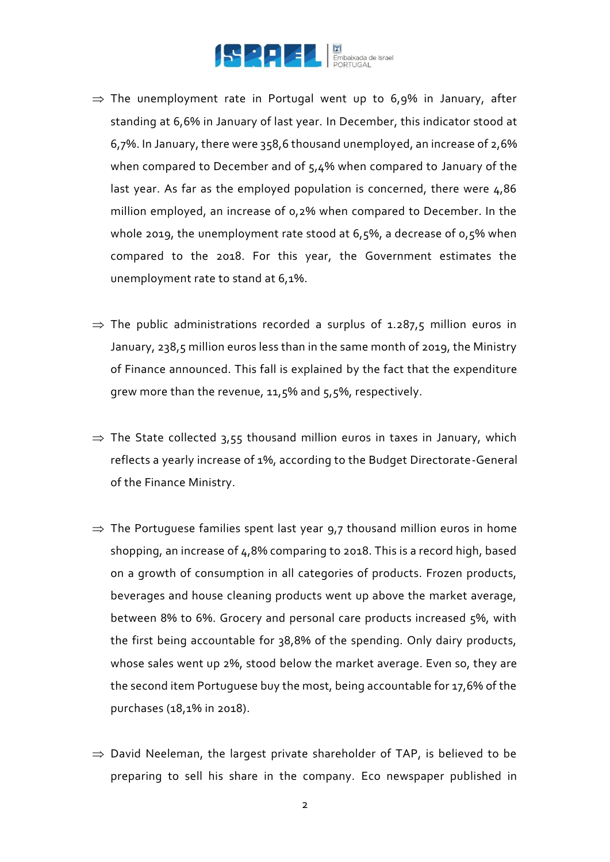

- $\Rightarrow$  The unemployment rate in Portugal went up to 6,9% in January, after standing at 6,6% in January of last year. In December, this indicator stood at 6,7%. In January, there were 358,6 thousand unemployed, an increase of 2,6% when compared to December and of 5,4% when compared to January of the last year. As far as the employed population is concerned, there were 4,86 million employed, an increase of 0,2% when compared to December. In the whole 2019, the unemployment rate stood at 6,5%, a decrease of 0,5% when compared to the 2018. For this year, the Government estimates the unemployment rate to stand at 6,1%.
- $\Rightarrow$  The public administrations recorded a surplus of 1.287,5 million euros in January, 238,5 million euros less than in the same month of 2019, the Ministry of Finance announced. This fall is explained by the fact that the expenditure grew more than the revenue, 11,5% and 5,5%, respectively.
- $\Rightarrow$  The State collected 3,55 thousand million euros in taxes in January, which reflects a yearly increase of 1%, according to the Budget Directorate-General of the Finance Ministry.
- $\Rightarrow$  The Portuguese families spent last year 9,7 thousand million euros in home shopping, an increase of 4,8% comparing to 2018. This is a record high, based on a growth of consumption in all categories of products. Frozen products, beverages and house cleaning products went up above the market average, between 8% to 6%. Grocery and personal care products increased 5%, with the first being accountable for 38,8% of the spending. Only dairy products, whose sales went up 2%, stood below the market average. Even so, they are the second item Portuguese buy the most, being accountable for 17,6% of the purchases (18,1% in 2018).
- $\Rightarrow$  David Neeleman, the largest private shareholder of TAP, is believed to be preparing to sell his share in the company. Eco newspaper published in